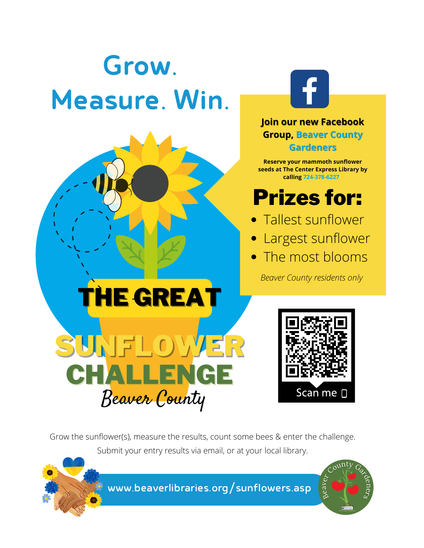# Grow. Measure. Win.





#### **Join our new Facebook Group, Beaver County Gardeners**

**Reserve your mammoth sunflower seeds at The Center Express Library by calling 724-378-6227**

# Prizes for:

- Tallest sunflower
- Largest sunflower
- The most blooms

*Beaver County residents only*



Grow the sunflower(s), measure the results, count some bees & enter the challenge. Submit your entry results via email, or at your local library.



[www.beaverlibraries.org/sunflowers.asp](https://www.beaverlibraries.org/sunflowers.asp)